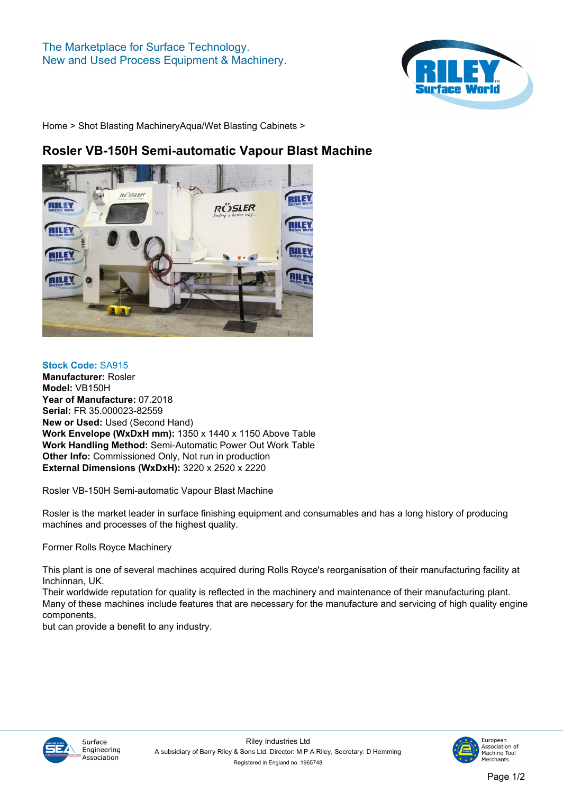

**[Home](https://www.rileysurfaceworld.co.uk) > [Shot Blasting Machinery](https://www.rileysurfaceworld.co.uk/shot-blasting.asp)[Aqua/Wet Blasting Cabinets](https://www.rileysurfaceworld.co.uk/shot-aqua.asp) >**

## **Rosler VB-150H Semi-automatic Vapour Blast Machine**



## **Stock Code: SA915**

**Manufacturer: Rosler Model: VB150H Year of Manufacture: 07.2018 Serial: FR 35.000023-82559 New or Used: Used (Second Hand) Work Envelope (WxDxH mm): 1350 x 1440 x 1150 Above Table Work Handling Method: Semi-Automatic Power Out Work Table Other Info: Commissioned Only, Not run in production External Dimensions (WxDxH): 3220 x 2520 x 2220**

**Rosler VB-150H Semi-automatic Vapour Blast Machine**

**Rosler is the market leader in surface finishing equipment and consumables and has a long history of producing machines and processes of the highest quality.**

**Former Rolls Royce Machinery**

**This plant is one of several machines acquired during Rolls Royce's reorganisation of their manufacturing facility at Inchinnan, UK.**

**Their worldwide reputation for quality is reflected in the machinery and maintenance of their manufacturing plant. Many of these machines include features that are necessary for the manufacture and servicing of high quality engine components,**

**but can provide a benefit to any industry.**